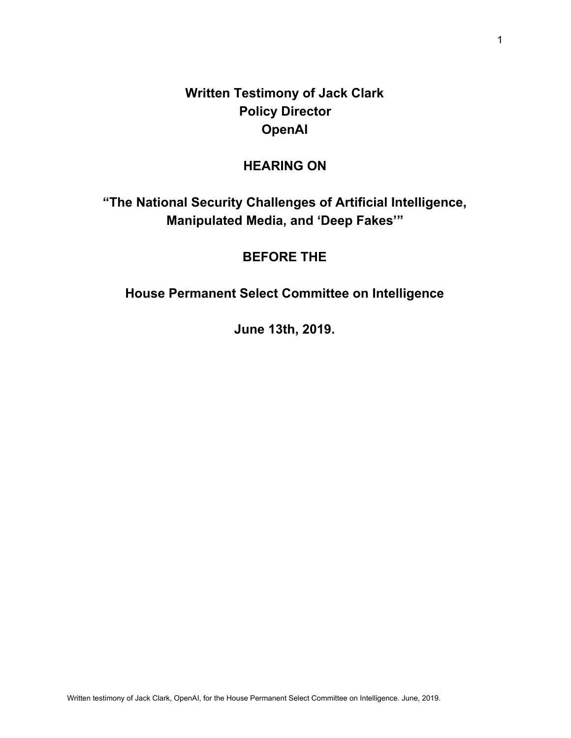**Written Testimony of Jack Clark Policy Director OpenAI**

# **HEARING ON**

**"The National Security Challenges of Artificial Intelligence, Manipulated Media, and 'Deep Fakes'"**

# **BEFORE THE**

**House Permanent Select Committee on Intelligence**

**June 13th, 2019.**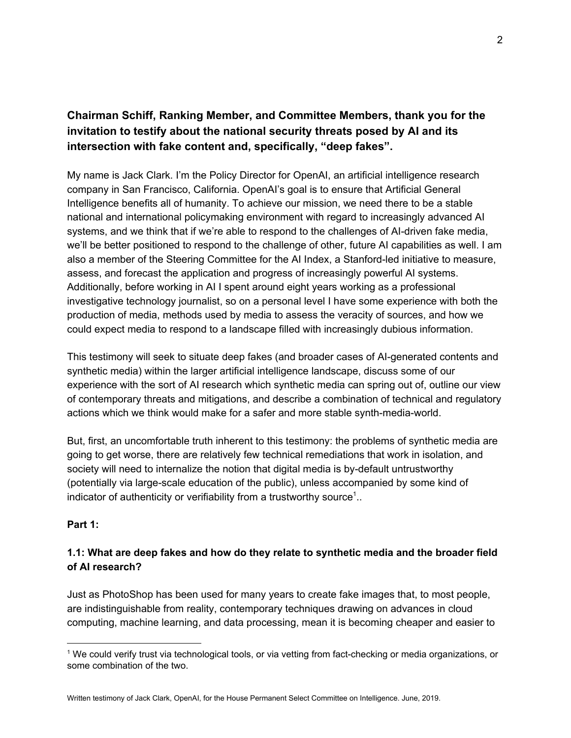# **Chairman Schiff, Ranking Member, and Committee Members, thank you for the invitation to testify about the national security threats posed by AI and its intersection with fake content and, specifically, "deep fakes".**

My name is Jack Clark. I'm the Policy Director for OpenAI, an artificial intelligence research company in San Francisco, California. OpenAI's goal is to ensure that Artificial General Intelligence benefits all of humanity. To achieve our mission, we need there to be a stable national and international policymaking environment with regard to increasingly advanced AI systems, and we think that if we're able to respond to the challenges of AI-driven fake media, we'll be better positioned to respond to the challenge of other, future AI capabilities as well. I am also a member of the Steering Committee for the AI Index, a Stanford-led initiative to measure, assess, and forecast the application and progress of increasingly powerful AI systems. Additionally, before working in AI I spent around eight years working as a professional investigative technology journalist, so on a personal level I have some experience with both the production of media, methods used by media to assess the veracity of sources, and how we could expect media to respond to a landscape filled with increasingly dubious information.

This testimony will seek to situate deep fakes (and broader cases of AI-generated contents and synthetic media) within the larger artificial intelligence landscape, discuss some of our experience with the sort of AI research which synthetic media can spring out of, outline our view of contemporary threats and mitigations, and describe a combination of technical and regulatory actions which we think would make for a safer and more stable synth-media-world.

But, first, an uncomfortable truth inherent to this testimony: the problems of synthetic media are going to get worse, there are relatively few technical remediations that work in isolation, and society will need to internalize the notion that digital media is by-default untrustworthy (potentially via large-scale education of the public), unless accompanied by some kind of indicator of authenticity or verifiability from a trustworthy source<sup>1</sup>..

### **Part 1:**

## **1.1: What are deep fakes and how do they relate to synthetic media and the broader field of AI research?**

Just as PhotoShop has been used for many years to create fake images that, to most people, are indistinguishable from reality, contemporary techniques drawing on advances in cloud computing, machine learning, and data processing, mean it is becoming cheaper and easier to

<sup>1</sup> We could verify trust via technological tools, or via vetting from fact-checking or media organizations, or some combination of the two.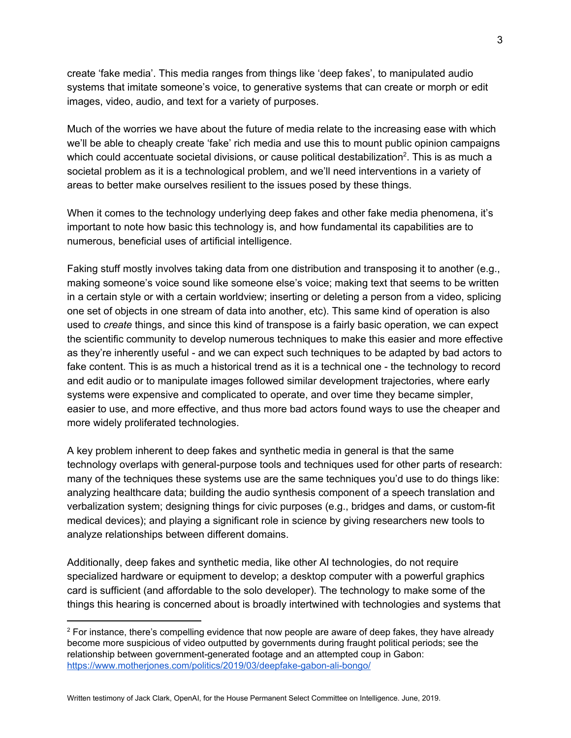create 'fake media'. This media ranges from things like 'deep fakes', to manipulated audio systems that imitate someone's voice, to generative systems that can create or morph or edit images, video, audio, and text for a variety of purposes.

Much of the worries we have about the future of media relate to the increasing ease with which we'll be able to cheaply create 'fake' rich media and use this to mount public opinion campaigns which could accentuate societal divisions, or cause political destabilization<sup>2</sup>. This is as much a societal problem as it is a technological problem, and we'll need interventions in a variety of areas to better make ourselves resilient to the issues posed by these things.

When it comes to the technology underlying deep fakes and other fake media phenomena, it's important to note how basic this technology is, and how fundamental its capabilities are to numerous, beneficial uses of artificial intelligence.

Faking stuff mostly involves taking data from one distribution and transposing it to another (e.g., making someone's voice sound like someone else's voice; making text that seems to be written in a certain style or with a certain worldview; inserting or deleting a person from a video, splicing one set of objects in one stream of data into another, etc). This same kind of operation is also used to *create* things, and since this kind of transpose is a fairly basic operation, we can expect the scientific community to develop numerous techniques to make this easier and more effective as they're inherently useful - and we can expect such techniques to be adapted by bad actors to fake content. This is as much a historical trend as it is a technical one - the technology to record and edit audio or to manipulate images followed similar development trajectories, where early systems were expensive and complicated to operate, and over time they became simpler, easier to use, and more effective, and thus more bad actors found ways to use the cheaper and more widely proliferated technologies.

A key problem inherent to deep fakes and synthetic media in general is that the same technology overlaps with general-purpose tools and techniques used for other parts of research: many of the techniques these systems use are the same techniques you'd use to do things like: analyzing healthcare data; building the audio synthesis component of a speech translation and verbalization system; designing things for civic purposes (e.g., bridges and dams, or custom-fit medical devices); and playing a significant role in science by giving researchers new tools to analyze relationships between different domains.

Additionally, deep fakes and synthetic media, like other AI technologies, do not require specialized hardware or equipment to develop; a desktop computer with a powerful graphics card is sufficient (and affordable to the solo developer). The technology to make some of the things this hearing is concerned about is broadly intertwined with technologies and systems that

Written testimony of Jack Clark, OpenAI, for the House Permanent Select Committee on Intelligence. June, 2019.

 $2$  For instance, there's compelling evidence that now people are aware of deep fakes, they have already become more suspicious of video outputted by governments during fraught political periods; see the relationship between government-generated footage and an attempted coup in Gabon: <https://www.motherjones.com/politics/2019/03/deepfake-gabon-ali-bongo/>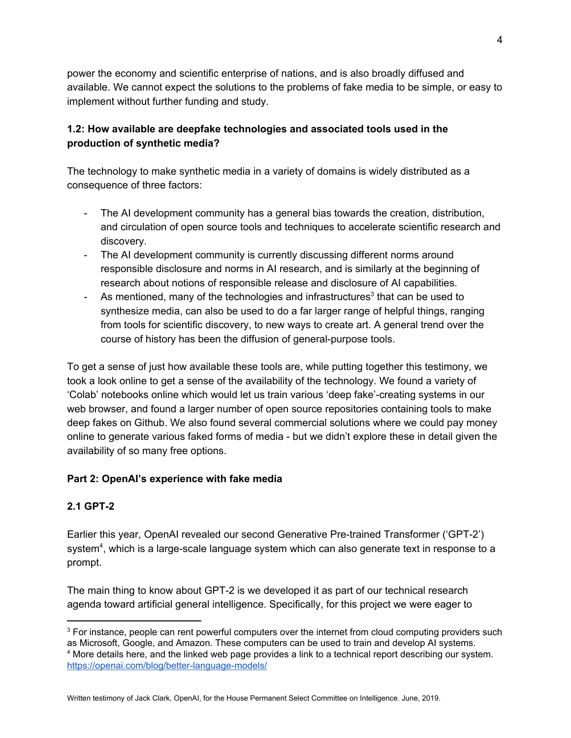power the economy and scientific enterprise of nations, and is also broadly diffused and available. We cannot expect the solutions to the problems of fake media to be simple, or easy to implement without further funding and study.

## **1.2: How available are deepfake technologies and associated tools used in the production of synthetic media?**

The technology to make synthetic media in a variety of domains is widely distributed as a consequence of three factors:

- The AI development community has a general bias towards the creation, distribution, and circulation of open source tools and techniques to accelerate scientific research and discovery.
- The AI development community is currently discussing different norms around responsible disclosure and norms in AI research, and is similarly at the beginning of research about notions of responsible release and disclosure of AI capabilities.
- As mentioned, many of the technologies and infrastructures<sup>3</sup> that can be used to synthesize media, can also be used to do a far larger range of helpful things, ranging from tools for scientific discovery, to new ways to create art. A general trend over the course of history has been the diffusion of general-purpose tools.

To get a sense of just how available these tools are, while putting together this testimony, we took a look online to get a sense of the availability of the technology. We found a variety of 'Colab' notebooks online which would let us train various 'deep fake'-creating systems in our web browser, and found a larger number of open source repositories containing tools to make deep fakes on Github. We also found several commercial solutions where we could pay money online to generate various faked forms of media - but we didn't explore these in detail given the availability of so many free options.

## **Part 2: OpenAI's experience with fake media**

## **2.1 GPT-2**

Earlier this year, OpenAI revealed our second Generative Pre-trained Transformer ('GPT-2') system<sup>4</sup>, which is a large-scale language system which can also generate text in response to a prompt.

The main thing to know about GPT-2 is we developed it as part of our technical research agenda toward artificial general intelligence. Specifically, for this project we were eager to

<sup>&</sup>lt;sup>3</sup> For instance, people can rent powerful computers over the internet from cloud computing providers such as Microsoft, Google, and Amazon. These computers can be used to train and develop AI systems. <sup>4</sup> More details here, and the linked web page provides a link to a technical report describing our system. <https://openai.com/blog/better-language-models/>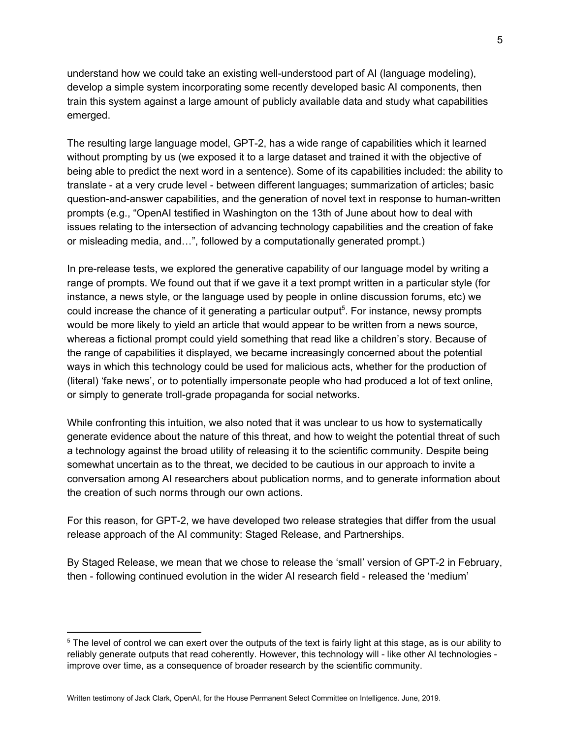understand how we could take an existing well-understood part of AI (language modeling), develop a simple system incorporating some recently developed basic AI components, then train this system against a large amount of publicly available data and study what capabilities emerged.

The resulting large language model, GPT-2, has a wide range of capabilities which it learned without prompting by us (we exposed it to a large dataset and trained it with the objective of being able to predict the next word in a sentence). Some of its capabilities included: the ability to translate - at a very crude level - between different languages; summarization of articles; basic question-and-answer capabilities, and the generation of novel text in response to human-written prompts (e.g., "OpenAI testified in Washington on the 13th of June about how to deal with issues relating to the intersection of advancing technology capabilities and the creation of fake or misleading media, and…", followed by a computationally generated prompt.)

In pre-release tests, we explored the generative capability of our language model by writing a range of prompts. We found out that if we gave it a text prompt written in a particular style (for instance, a news style, or the language used by people in online discussion forums, etc) we could increase the chance of it generating a particular output<sup>5</sup>. For instance, newsy prompts would be more likely to yield an article that would appear to be written from a news source, whereas a fictional prompt could yield something that read like a children's story. Because of the range of capabilities it displayed, we became increasingly concerned about the potential ways in which this technology could be used for malicious acts, whether for the production of (literal) 'fake news', or to potentially impersonate people who had produced a lot of text online, or simply to generate troll-grade propaganda for social networks.

While confronting this intuition, we also noted that it was unclear to us how to systematically generate evidence about the nature of this threat, and how to weight the potential threat of such a technology against the broad utility of releasing it to the scientific community. Despite being somewhat uncertain as to the threat, we decided to be cautious in our approach to invite a conversation among AI researchers about publication norms, and to generate information about the creation of such norms through our own actions.

For this reason, for GPT-2, we have developed two release strategies that differ from the usual release approach of the AI community: Staged Release, and Partnerships.

By Staged Release, we mean that we chose to release the 'small' version of GPT-2 in February, then - following continued evolution in the wider AI research field - released the 'medium'

<sup>&</sup>lt;sup>5</sup> The level of control we can exert over the outputs of the text is fairly light at this stage, as is our ability to reliably generate outputs that read coherently. However, this technology will - like other AI technologies improve over time, as a consequence of broader research by the scientific community.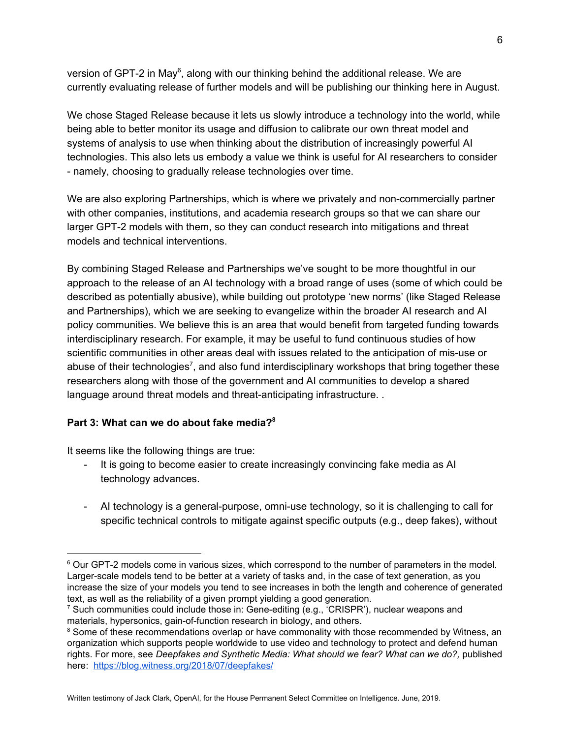version of GPT-2 in May<sup>6</sup>, along with our thinking behind the additional release. We are currently evaluating release of further models and will be publishing our thinking here in August.

We chose Staged Release because it lets us slowly introduce a technology into the world, while being able to better monitor its usage and diffusion to calibrate our own threat model and systems of analysis to use when thinking about the distribution of increasingly powerful AI technologies. This also lets us embody a value we think is useful for AI researchers to consider - namely, choosing to gradually release technologies over time.

We are also exploring Partnerships, which is where we privately and non-commercially partner with other companies, institutions, and academia research groups so that we can share our larger GPT-2 models with them, so they can conduct research into mitigations and threat models and technical interventions.

By combining Staged Release and Partnerships we've sought to be more thoughtful in our approach to the release of an AI technology with a broad range of uses (some of which could be described as potentially abusive), while building out prototype 'new norms' (like Staged Release and Partnerships), which we are seeking to evangelize within the broader AI research and AI policy communities. We believe this is an area that would benefit from targeted funding towards interdisciplinary research. For example, it may be useful to fund continuous studies of how scientific communities in other areas deal with issues related to the anticipation of mis-use or abuse of their technologies<sup>7</sup>, and also fund interdisciplinary workshops that bring together these researchers along with those of the government and AI communities to develop a shared language around threat models and threat-anticipating infrastructure. .

### **Part 3: What can we do about fake media? 8**

It seems like the following things are true:

- It is going to become easier to create increasingly convincing fake media as AI technology advances.
- AI technology is a general-purpose, omni-use technology, so it is challenging to call for specific technical controls to mitigate against specific outputs (e.g., deep fakes), without

Written testimony of Jack Clark, OpenAI, for the House Permanent Select Committee on Intelligence. June, 2019.

 $6$  Our GPT-2 models come in various sizes, which correspond to the number of parameters in the model. Larger-scale models tend to be better at a variety of tasks and, in the case of text generation, as you increase the size of your models you tend to see increases in both the length and coherence of generated text, as well as the reliability of a given prompt yielding a good generation.

<sup>&</sup>lt;sup>7</sup> Such communities could include those in: Gene-editing (e.g., 'CRISPR'), nuclear weapons and materials, hypersonics, gain-of-function research in biology, and others.

<sup>&</sup>lt;sup>8</sup> Some of these recommendations overlap or have commonality with those recommended by Witness, an organization which supports people worldwide to use video and technology to protect and defend human rights. For more, see *Deepfakes and Synthetic Media: What should we fear? What can we do?,* published here: <https://blog.witness.org/2018/07/deepfakes/>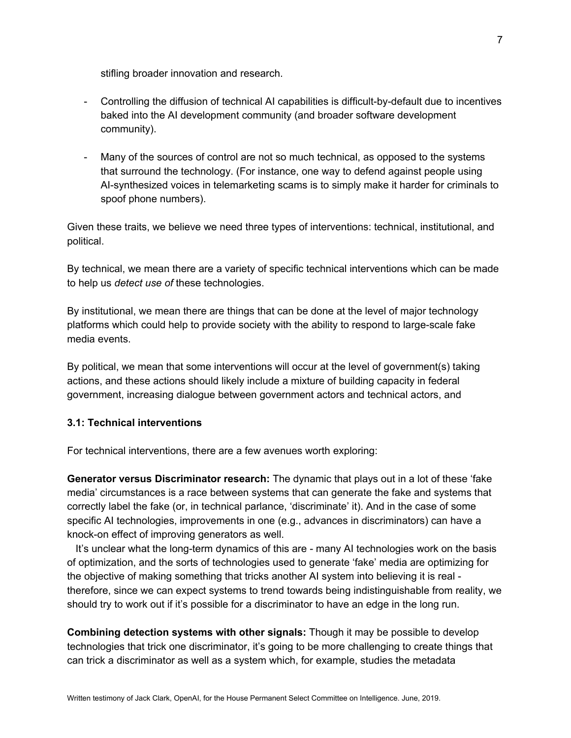stifling broader innovation and research.

- Controlling the diffusion of technical AI capabilities is difficult-by-default due to incentives baked into the AI development community (and broader software development community).
- Many of the sources of control are not so much technical, as opposed to the systems that surround the technology. (For instance, one way to defend against people using AI-synthesized voices in telemarketing scams is to simply make it harder for criminals to spoof phone numbers).

Given these traits, we believe we need three types of interventions: technical, institutional, and political.

By technical, we mean there are a variety of specific technical interventions which can be made to help us *detect use of* these technologies.

By institutional, we mean there are things that can be done at the level of major technology platforms which could help to provide society with the ability to respond to large-scale fake media events.

By political, we mean that some interventions will occur at the level of government(s) taking actions, and these actions should likely include a mixture of building capacity in federal government, increasing dialogue between government actors and technical actors, and

### **3.1: Technical interventions**

For technical interventions, there are a few avenues worth exploring:

**Generator versus Discriminator research:** The dynamic that plays out in a lot of these 'fake media' circumstances is a race between systems that can generate the fake and systems that correctly label the fake (or, in technical parlance, 'discriminate' it). And in the case of some specific AI technologies, improvements in one (e.g., advances in discriminators) can have a knock-on effect of improving generators as well.

It's unclear what the long-term dynamics of this are - many AI technologies work on the basis of optimization, and the sorts of technologies used to generate 'fake' media are optimizing for the objective of making something that tricks another AI system into believing it is real therefore, since we can expect systems to trend towards being indistinguishable from reality, we should try to work out if it's possible for a discriminator to have an edge in the long run.

**Combining detection systems with other signals:** Though it may be possible to develop technologies that trick one discriminator, it's going to be more challenging to create things that can trick a discriminator as well as a system which, for example, studies the metadata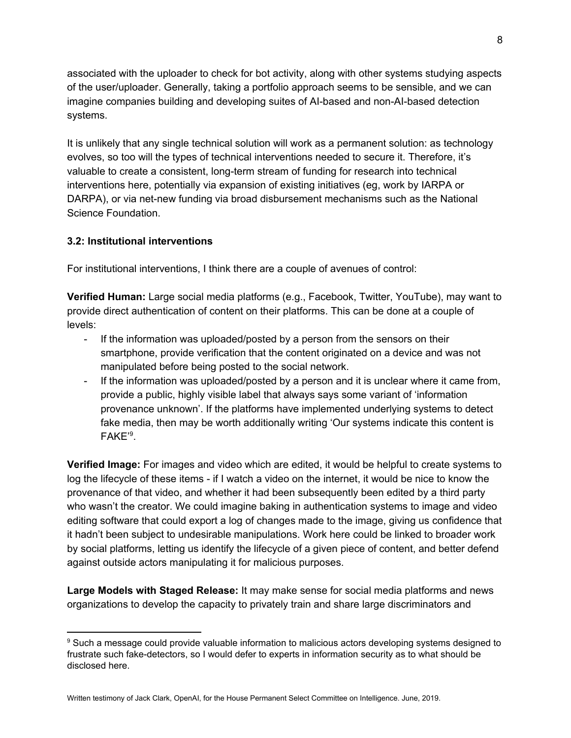associated with the uploader to check for bot activity, along with other systems studying aspects of the user/uploader. Generally, taking a portfolio approach seems to be sensible, and we can imagine companies building and developing suites of AI-based and non-AI-based detection systems.

It is unlikely that any single technical solution will work as a permanent solution: as technology evolves, so too will the types of technical interventions needed to secure it. Therefore, it's valuable to create a consistent, long-term stream of funding for research into technical interventions here, potentially via expansion of existing initiatives (eg, work by IARPA or DARPA), or via net-new funding via broad disbursement mechanisms such as the National Science Foundation.

## **3.2: Institutional interventions**

For institutional interventions, I think there are a couple of avenues of control:

**Verified Human:** Large social media platforms (e.g., Facebook, Twitter, YouTube), may want to provide direct authentication of content on their platforms. This can be done at a couple of levels:

- If the information was uploaded/posted by a person from the sensors on their smartphone, provide verification that the content originated on a device and was not manipulated before being posted to the social network.
- If the information was uploaded/posted by a person and it is unclear where it came from, provide a public, highly visible label that always says some variant of 'information provenance unknown'. If the platforms have implemented underlying systems to detect fake media, then may be worth additionally writing 'Our systems indicate this content is FAKE'<sup>9</sup>.

**Verified Image:** For images and video which are edited, it would be helpful to create systems to log the lifecycle of these items - if I watch a video on the internet, it would be nice to know the provenance of that video, and whether it had been subsequently been edited by a third party who wasn't the creator. We could imagine baking in authentication systems to image and video editing software that could export a log of changes made to the image, giving us confidence that it hadn't been subject to undesirable manipulations. Work here could be linked to broader work by social platforms, letting us identify the lifecycle of a given piece of content, and better defend against outside actors manipulating it for malicious purposes.

**Large Models with Staged Release:** It may make sense for social media platforms and news organizations to develop the capacity to privately train and share large discriminators and

Written testimony of Jack Clark, OpenAI, for the House Permanent Select Committee on Intelligence. June, 2019.

<sup>9</sup> Such a message could provide valuable information to malicious actors developing systems designed to frustrate such fake-detectors, so I would defer to experts in information security as to what should be disclosed here.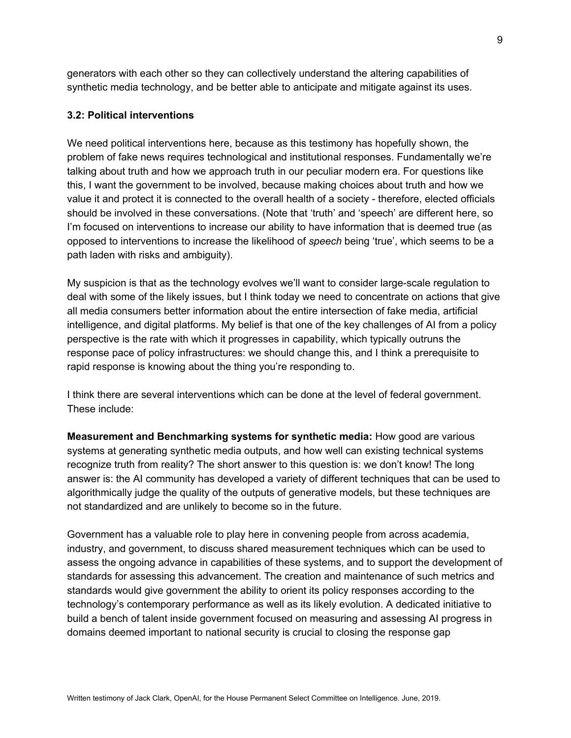generators with each other so they can collectively understand the altering capabilities of synthetic media technology, and be better able to anticipate and mitigate against its uses.

#### **3.2: Political interventions**

We need political interventions here, because as this testimony has hopefully shown, the problem of fake news requires technological and institutional responses. Fundamentally we're talking about truth and how we approach truth in our peculiar modern era. For questions like this, I want the government to be involved, because making choices about truth and how we value it and protect it is connected to the overall health of a society - therefore, elected officials should be involved in these conversations. (Note that 'truth' and 'speech' are different here, so I'm focused on interventions to increase our ability to have information that is deemed true (as opposed to interventions to increase the likelihood of *speech* being 'true', which seems to be a path laden with risks and ambiguity).

My suspicion is that as the technology evolves we'll want to consider large-scale regulation to deal with some of the likely issues, but I think today we need to concentrate on actions that give all media consumers better information about the entire intersection of fake media, artificial intelligence, and digital platforms. My belief is that one of the key challenges of AI from a policy perspective is the rate with which it progresses in capability, which typically outruns the response pace of policy infrastructures: we should change this, and I think a prerequisite to rapid response is knowing about the thing you're responding to.

I think there are several interventions which can be done at the level of federal government. These include:

**Measurement and Benchmarking systems for synthetic media:** How good are various systems at generating synthetic media outputs, and how well can existing technical systems recognize truth from reality? The short answer to this question is: we don't know! The long answer is: the AI community has developed a variety of different techniques that can be used to algorithmically judge the quality of the outputs of generative models, but these techniques are not standardized and are unlikely to become so in the future.

Government has a valuable role to play here in convening people from across academia, industry, and government, to discuss shared measurement techniques which can be used to assess the ongoing advance in capabilities of these systems, and to support the development of standards for assessing this advancement. The creation and maintenance of such metrics and standards would give government the ability to orient its policy responses according to the technology's contemporary performance as well as its likely evolution. A dedicated initiative to build a bench of talent inside government focused on measuring and assessing AI progress in domains deemed important to national security is crucial to closing the response gap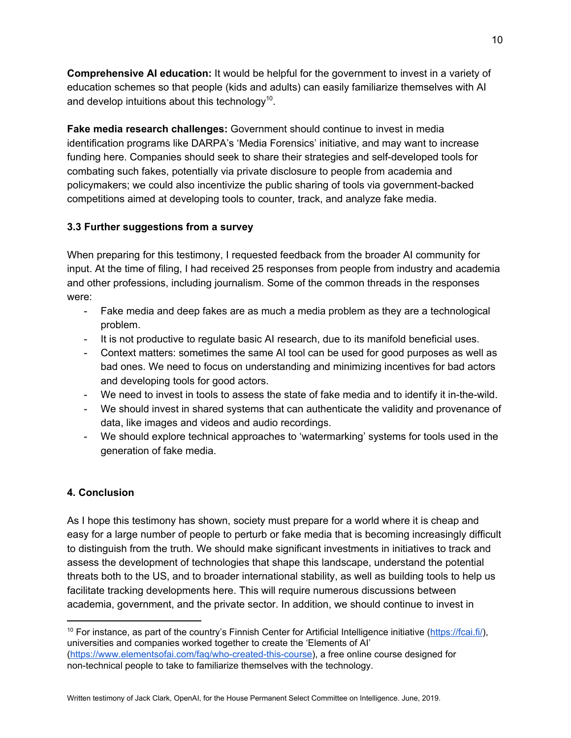**Comprehensive AI education:** It would be helpful for the government to invest in a variety of education schemes so that people (kids and adults) can easily familiarize themselves with AI and develop intuitions about this technology<sup>10</sup>.

**Fake media research challenges:** Government should continue to invest in media identification programs like DARPA's 'Media Forensics' initiative, and may want to increase funding here. Companies should seek to share their strategies and self-developed tools for combating such fakes, potentially via private disclosure to people from academia and policymakers; we could also incentivize the public sharing of tools via government-backed competitions aimed at developing tools to counter, track, and analyze fake media.

## **3.3 Further suggestions from a survey**

When preparing for this testimony, I requested feedback from the broader AI community for input. At the time of filing, I had received 25 responses from people from industry and academia and other professions, including journalism. Some of the common threads in the responses were:

- Fake media and deep fakes are as much a media problem as they are a technological problem.
- It is not productive to regulate basic AI research, due to its manifold beneficial uses.
- Context matters: sometimes the same AI tool can be used for good purposes as well as bad ones. We need to focus on understanding and minimizing incentives for bad actors and developing tools for good actors.
- We need to invest in tools to assess the state of fake media and to identify it in-the-wild.
- We should invest in shared systems that can authenticate the validity and provenance of data, like images and videos and audio recordings.
- We should explore technical approaches to 'watermarking' systems for tools used in the generation of fake media.

# **4. Conclusion**

As I hope this testimony has shown, society must prepare for a world where it is cheap and easy for a large number of people to perturb or fake media that is becoming increasingly difficult to distinguish from the truth. We should make significant investments in initiatives to track and assess the development of technologies that shape this landscape, understand the potential threats both to the US, and to broader international stability, as well as building tools to help us facilitate tracking developments here. This will require numerous discussions between academia, government, and the private sector. In addition, we should continue to invest in

 $10$  For instance, as part of the country's Finnish Center for Artificial Intelligence initiative [\(https://fcai.fi/\)](https://fcai.fi/), universities and companies worked together to create the 'Elements of AI' [\(https://www.elementsofai.com/faq/who-created-this-course](https://www.elementsofai.com/faq/who-created-this-course)), a free online course designed for non-technical people to take to familiarize themselves with the technology.